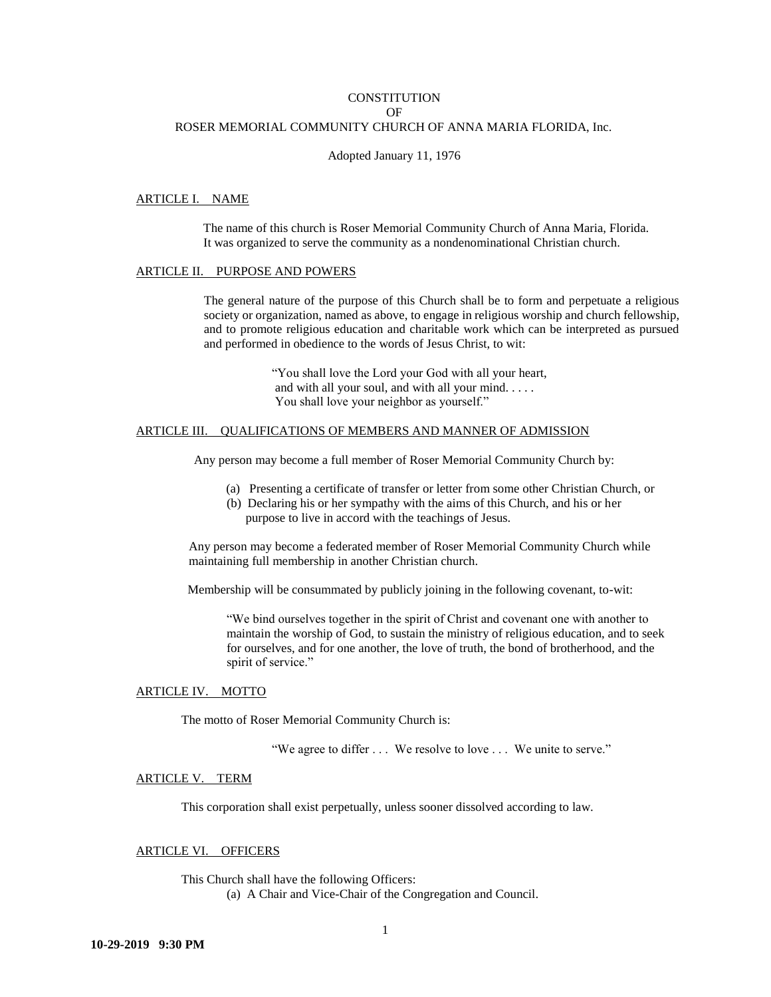## **CONSTITUTION**  $\Omega$ F ROSER MEMORIAL COMMUNITY CHURCH OF ANNA MARIA FLORIDA, Inc.

#### Adopted January 11, 1976

### ARTICLE I. NAME

 The name of this church is Roser Memorial Community Church of Anna Maria, Florida. It was organized to serve the community as a nondenominational Christian church.

#### ARTICLE II. PURPOSE AND POWERS

The general nature of the purpose of this Church shall be to form and perpetuate a religious society or organization, named as above, to engage in religious worship and church fellowship, and to promote religious education and charitable work which can be interpreted as pursued and performed in obedience to the words of Jesus Christ, to wit:

> "You shall love the Lord your God with all your heart, and with all your soul, and with all your mind. . . . . You shall love your neighbor as yourself."

### ARTICLE III. QUALIFICATIONS OF MEMBERS AND MANNER OF ADMISSION

Any person may become a full member of Roser Memorial Community Church by:

- (a) Presenting a certificate of transfer or letter from some other Christian Church, or
- (b) Declaring his or her sympathy with the aims of this Church, and his or her purpose to live in accord with the teachings of Jesus.

Any person may become a federated member of Roser Memorial Community Church while maintaining full membership in another Christian church.

Membership will be consummated by publicly joining in the following covenant, to-wit:

"We bind ourselves together in the spirit of Christ and covenant one with another to maintain the worship of God, to sustain the ministry of religious education, and to seek for ourselves, and for one another, the love of truth, the bond of brotherhood, and the spirit of service."

### ARTICLE IV. MOTTO

The motto of Roser Memorial Community Church is:

"We agree to differ . . . We resolve to love . . . We unite to serve."

# ARTICLE V. TERM

This corporation shall exist perpetually, unless sooner dissolved according to law.

## ARTICLE VI. OFFICERS

This Church shall have the following Officers: (a) A Chair and Vice-Chair of the Congregation and Council.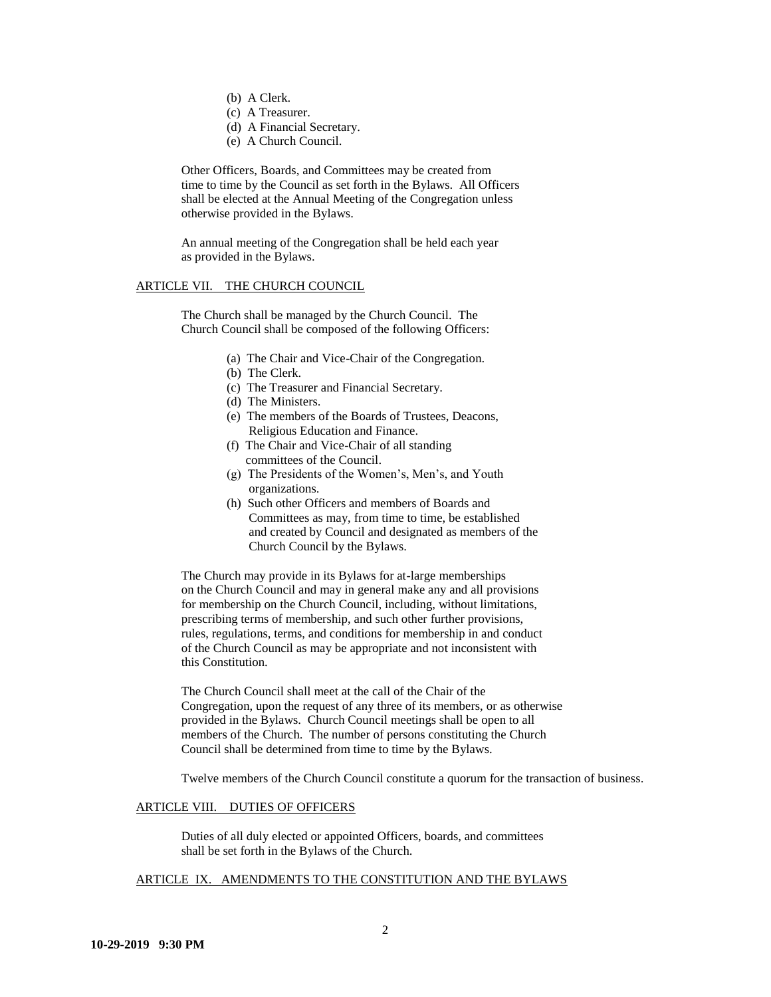- (b) A Clerk.
- (c) A Treasurer.
- (d) A Financial Secretary.
- (e) A Church Council.

Other Officers, Boards, and Committees may be created from time to time by the Council as set forth in the Bylaws. All Officers shall be elected at the Annual Meeting of the Congregation unless otherwise provided in the Bylaws.

An annual meeting of the Congregation shall be held each year as provided in the Bylaws.

## ARTICLE VII. THE CHURCH COUNCIL

The Church shall be managed by the Church Council. The Church Council shall be composed of the following Officers:

- (a) The Chair and Vice-Chair of the Congregation.
- (b) The Clerk.
- (c) The Treasurer and Financial Secretary.
- (d) The Ministers.
- (e) The members of the Boards of Trustees, Deacons, Religious Education and Finance.
- (f) The Chair and Vice-Chair of all standing committees of the Council.
- (g) The Presidents of the Women's, Men's, and Youth organizations.
- (h) Such other Officers and members of Boards and Committees as may, from time to time, be established and created by Council and designated as members of the Church Council by the Bylaws.

The Church may provide in its Bylaws for at-large memberships on the Church Council and may in general make any and all provisions for membership on the Church Council, including, without limitations, prescribing terms of membership, and such other further provisions, rules, regulations, terms, and conditions for membership in and conduct of the Church Council as may be appropriate and not inconsistent with this Constitution.

The Church Council shall meet at the call of the Chair of the Congregation, upon the request of any three of its members, or as otherwise provided in the Bylaws. Church Council meetings shall be open to all members of the Church. The number of persons constituting the Church Council shall be determined from time to time by the Bylaws.

Twelve members of the Church Council constitute a quorum for the transaction of business.

### ARTICLE VIII. DUTIES OF OFFICERS

Duties of all duly elected or appointed Officers, boards, and committees shall be set forth in the Bylaws of the Church.

## ARTICLE IX. AMENDMENTS TO THE CONSTITUTION AND THE BYLAWS